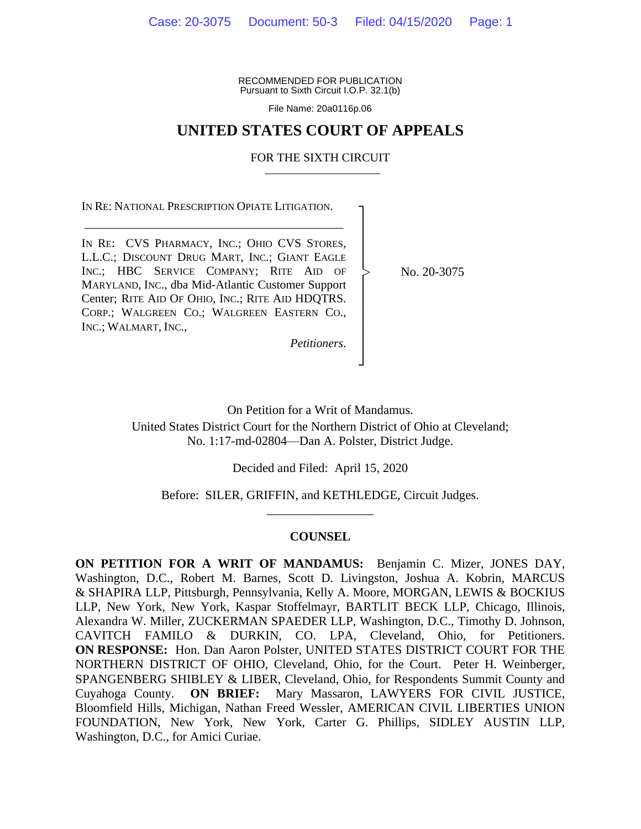RECOMMENDED FOR PUBLICATION Pursuant to Sixth Circuit I.O.P. 32.1(b)

File Name: 20a0116p.06

## **UNITED STATES COURT OF APPEALS**

### FOR THE SIXTH CIRCUIT

┐ │ │ │ │ │ │ │ │ │ │ ┘

|<br>|<br>|

IN RE: NATIONAL PRESCRIPTION OPIATE LITIGATION. \_\_\_\_\_\_\_\_\_\_\_\_\_\_\_\_\_\_\_\_\_\_\_\_\_\_\_\_\_\_\_\_\_\_\_\_\_\_\_\_\_\_\_

IN RE: CVS PHARMACY, INC.; OHIO CVS STORES, L.L.C.; DISCOUNT DRUG MART, INC.; GIANT EAGLE INC.; HBC SERVICE COMPANY; RITE AID OF MARYLAND, INC., dba Mid-Atlantic Customer Support Center; RITE AID OF OHIO, INC.; RITE AID HDQTRS. CORP.; WALGREEN CO.; WALGREEN EASTERN CO., INC.; WALMART, INC.,

No. 20-3075

*Petitioners*.

On Petition for a Writ of Mandamus. United States District Court for the Northern District of Ohio at Cleveland; No. 1:17-md-02804—Dan A. Polster, District Judge.

Decided and Filed: April 15, 2020

Before: SILER, GRIFFIN, and KETHLEDGE, Circuit Judges. \_\_\_\_\_\_\_\_\_\_\_\_\_\_\_\_\_

### **COUNSEL**

**ON PETITION FOR A WRIT OF MANDAMUS:** Benjamin C. Mizer, JONES DAY, Washington, D.C., Robert M. Barnes, Scott D. Livingston, Joshua A. Kobrin, MARCUS & SHAPIRA LLP, Pittsburgh, Pennsylvania, Kelly A. Moore, MORGAN, LEWIS & BOCKIUS LLP, New York, New York, Kaspar Stoffelmayr, BARTLIT BECK LLP, Chicago, Illinois, Alexandra W. Miller, ZUCKERMAN SPAEDER LLP, Washington, D.C., Timothy D. Johnson, CAVITCH FAMILO & DURKIN, CO. LPA, Cleveland, Ohio, for Petitioners. **ON RESPONSE:** Hon. Dan Aaron Polster, UNITED STATES DISTRICT COURT FOR THE NORTHERN DISTRICT OF OHIO, Cleveland, Ohio, for the Court. Peter H. Weinberger, SPANGENBERG SHIBLEY & LIBER, Cleveland, Ohio, for Respondents Summit County and Cuyahoga County. **ON BRIEF:** Mary Massaron, LAWYERS FOR CIVIL JUSTICE, Bloomfield Hills, Michigan, Nathan Freed Wessler, AMERICAN CIVIL LIBERTIES UNION FOUNDATION, New York, New York, Carter G. Phillips, SIDLEY AUSTIN LLP, Washington, D.C., for Amici Curiae.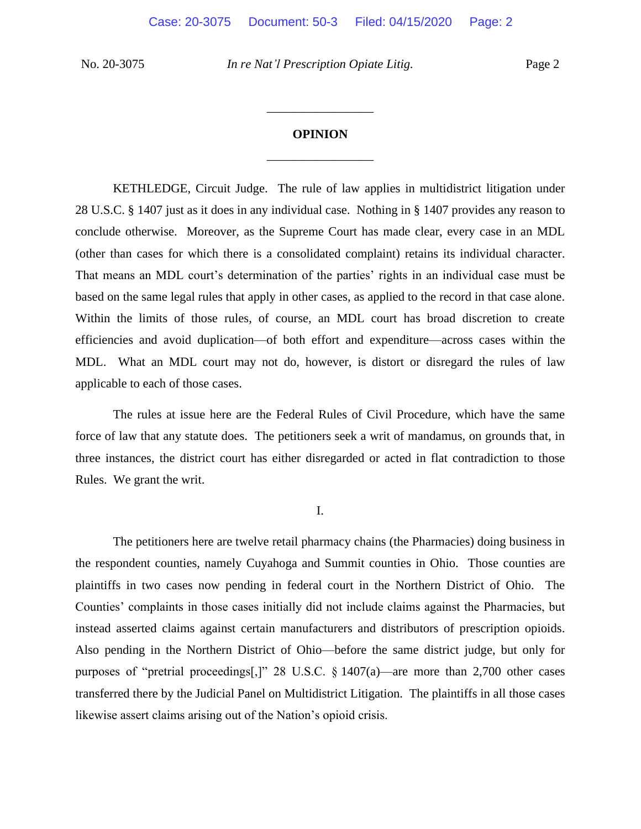# **OPINION** \_\_\_\_\_\_\_\_\_\_\_\_\_\_\_\_\_

\_\_\_\_\_\_\_\_\_\_\_\_\_\_\_\_\_

KETHLEDGE, Circuit Judge. The rule of law applies in multidistrict litigation under 28 U.S.C. § 1407 just as it does in any individual case. Nothing in § 1407 provides any reason to conclude otherwise. Moreover, as the Supreme Court has made clear, every case in an MDL (other than cases for which there is a consolidated complaint) retains its individual character. That means an MDL court's determination of the parties' rights in an individual case must be based on the same legal rules that apply in other cases, as applied to the record in that case alone. Within the limits of those rules, of course, an MDL court has broad discretion to create efficiencies and avoid duplication—of both effort and expenditure—across cases within the MDL. What an MDL court may not do, however, is distort or disregard the rules of law applicable to each of those cases.

The rules at issue here are the Federal Rules of Civil Procedure, which have the same force of law that any statute does. The petitioners seek a writ of mandamus, on grounds that, in three instances, the district court has either disregarded or acted in flat contradiction to those Rules. We grant the writ.

I.

The petitioners here are twelve retail pharmacy chains (the Pharmacies) doing business in the respondent counties, namely Cuyahoga and Summit counties in Ohio. Those counties are plaintiffs in two cases now pending in federal court in the Northern District of Ohio. The Counties' complaints in those cases initially did not include claims against the Pharmacies, but instead asserted claims against certain manufacturers and distributors of prescription opioids. Also pending in the Northern District of Ohio—before the same district judge, but only for purposes of "pretrial proceedings[,]" 28 U.S.C. § 1407(a)—are more than 2,700 other cases transferred there by the Judicial Panel on Multidistrict Litigation. The plaintiffs in all those cases likewise assert claims arising out of the Nation's opioid crisis.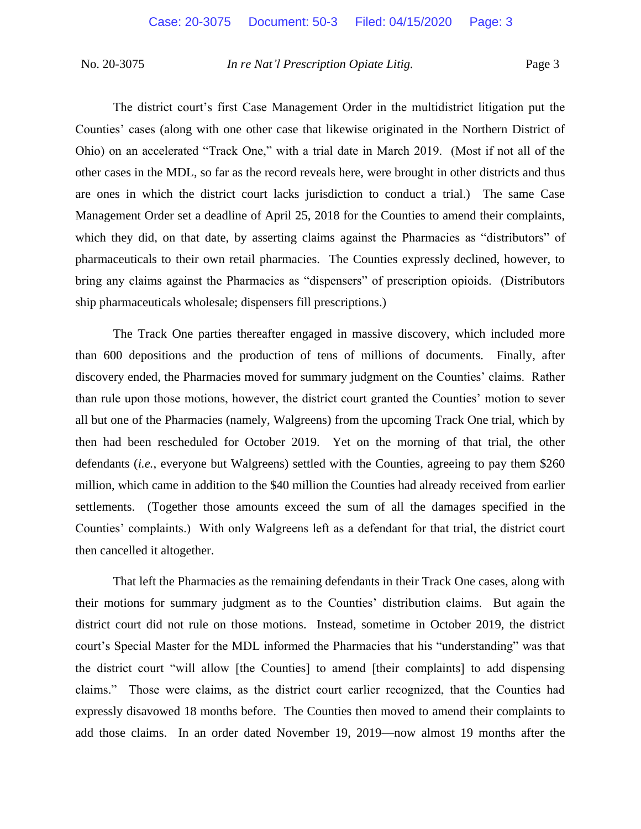The district court's first Case Management Order in the multidistrict litigation put the Counties' cases (along with one other case that likewise originated in the Northern District of Ohio) on an accelerated "Track One," with a trial date in March 2019. (Most if not all of the other cases in the MDL, so far as the record reveals here, were brought in other districts and thus are ones in which the district court lacks jurisdiction to conduct a trial.) The same Case Management Order set a deadline of April 25, 2018 for the Counties to amend their complaints, which they did, on that date, by asserting claims against the Pharmacies as "distributors" of pharmaceuticals to their own retail pharmacies. The Counties expressly declined, however, to bring any claims against the Pharmacies as "dispensers" of prescription opioids. (Distributors ship pharmaceuticals wholesale; dispensers fill prescriptions.)

The Track One parties thereafter engaged in massive discovery, which included more than 600 depositions and the production of tens of millions of documents. Finally, after discovery ended, the Pharmacies moved for summary judgment on the Counties' claims. Rather than rule upon those motions, however, the district court granted the Counties' motion to sever all but one of the Pharmacies (namely, Walgreens) from the upcoming Track One trial, which by then had been rescheduled for October 2019. Yet on the morning of that trial, the other defendants (*i.e.*, everyone but Walgreens) settled with the Counties, agreeing to pay them \$260 million, which came in addition to the \$40 million the Counties had already received from earlier settlements. (Together those amounts exceed the sum of all the damages specified in the Counties' complaints.) With only Walgreens left as a defendant for that trial, the district court then cancelled it altogether.

That left the Pharmacies as the remaining defendants in their Track One cases, along with their motions for summary judgment as to the Counties' distribution claims. But again the district court did not rule on those motions. Instead, sometime in October 2019, the district court's Special Master for the MDL informed the Pharmacies that his "understanding" was that the district court "will allow [the Counties] to amend [their complaints] to add dispensing claims." Those were claims, as the district court earlier recognized, that the Counties had expressly disavowed 18 months before. The Counties then moved to amend their complaints to add those claims. In an order dated November 19, 2019—now almost 19 months after the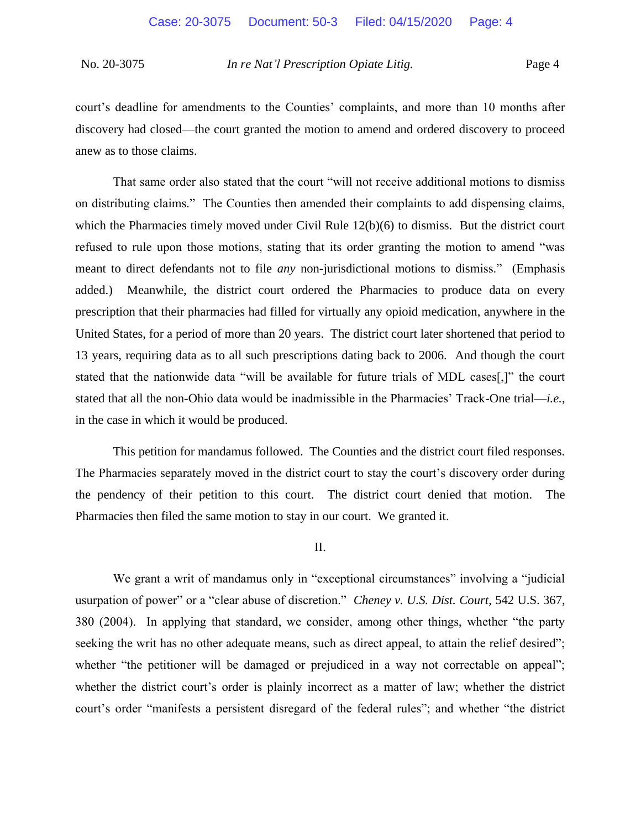court's deadline for amendments to the Counties' complaints, and more than 10 months after discovery had closed—the court granted the motion to amend and ordered discovery to proceed anew as to those claims.

That same order also stated that the court "will not receive additional motions to dismiss on distributing claims." The Counties then amended their complaints to add dispensing claims, which the Pharmacies timely moved under Civil Rule 12(b)(6) to dismiss. But the district court refused to rule upon those motions, stating that its order granting the motion to amend "was meant to direct defendants not to file *any* non-jurisdictional motions to dismiss." (Emphasis added.) Meanwhile, the district court ordered the Pharmacies to produce data on every prescription that their pharmacies had filled for virtually any opioid medication, anywhere in the United States, for a period of more than 20 years. The district court later shortened that period to 13 years, requiring data as to all such prescriptions dating back to 2006. And though the court stated that the nationwide data "will be available for future trials of MDL cases[,]" the court stated that all the non-Ohio data would be inadmissible in the Pharmacies' Track-One trial—*i.e.*, in the case in which it would be produced.

This petition for mandamus followed. The Counties and the district court filed responses. The Pharmacies separately moved in the district court to stay the court's discovery order during the pendency of their petition to this court. The district court denied that motion. The Pharmacies then filed the same motion to stay in our court. We granted it.

### II.

We grant a writ of mandamus only in "exceptional circumstances" involving a "judicial usurpation of power" or a "clear abuse of discretion." *Cheney v. U.S. Dist. Court*, 542 U.S. 367, 380 (2004). In applying that standard, we consider, among other things, whether "the party seeking the writ has no other adequate means, such as direct appeal, to attain the relief desired"; whether "the petitioner will be damaged or prejudiced in a way not correctable on appeal"; whether the district court's order is plainly incorrect as a matter of law; whether the district court's order "manifests a persistent disregard of the federal rules"; and whether "the district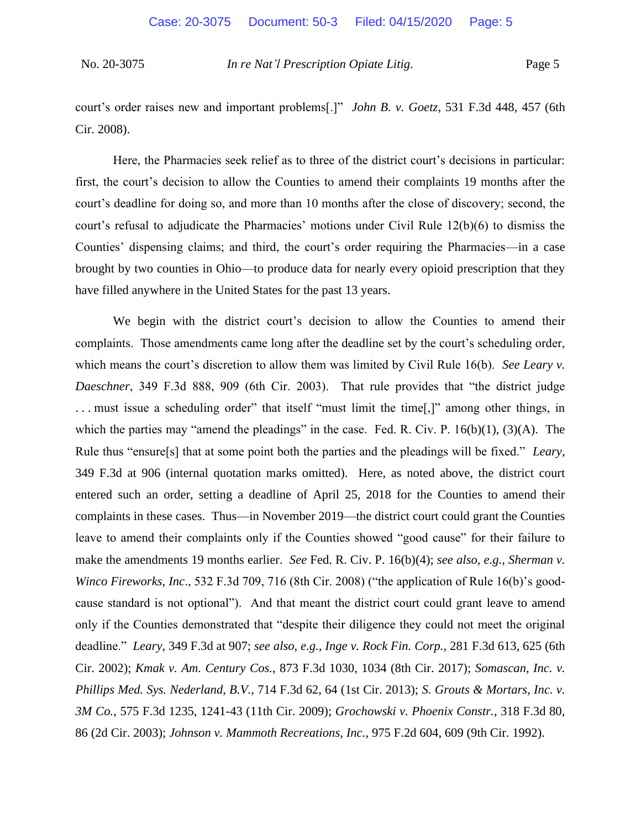court's order raises new and important problems[.]" *John B. v. Goetz*, 531 F.3d 448, 457 (6th Cir. 2008).

Here, the Pharmacies seek relief as to three of the district court's decisions in particular: first, the court's decision to allow the Counties to amend their complaints 19 months after the court's deadline for doing so, and more than 10 months after the close of discovery; second, the court's refusal to adjudicate the Pharmacies' motions under Civil Rule 12(b)(6) to dismiss the Counties' dispensing claims; and third, the court's order requiring the Pharmacies—in a case brought by two counties in Ohio—to produce data for nearly every opioid prescription that they have filled anywhere in the United States for the past 13 years.

We begin with the district court's decision to allow the Counties to amend their complaints. Those amendments came long after the deadline set by the court's scheduling order, which means the court's discretion to allow them was limited by Civil Rule 16(b). *See Leary v. Daeschner*, 349 F.3d 888, 909 (6th Cir. 2003). That rule provides that "the district judge . . . must issue a scheduling order" that itself "must limit the time[,]" among other things, in which the parties may "amend the pleadings" in the case. Fed. R. Civ. P.  $16(b)(1)$ ,  $(3)(A)$ . The Rule thus "ensure[s] that at some point both the parties and the pleadings will be fixed." *Leary*, 349 F.3d at 906 (internal quotation marks omitted). Here, as noted above, the district court entered such an order, setting a deadline of April 25, 2018 for the Counties to amend their complaints in these cases. Thus—in November 2019—the district court could grant the Counties leave to amend their complaints only if the Counties showed "good cause" for their failure to make the amendments 19 months earlier. *See* Fed. R. Civ. P. 16(b)(4); *see also, e.g.*, *Sherman v. Winco Fireworks, Inc*., 532 F.3d 709, 716 (8th Cir. 2008) ("the application of Rule 16(b)'s goodcause standard is not optional"). And that meant the district court could grant leave to amend only if the Counties demonstrated that "despite their diligence they could not meet the original deadline." *Leary*, 349 F.3d at 907; *see also, e.g.*, *Inge v. Rock Fin. Corp.*, 281 F.3d 613, 625 (6th Cir. 2002); *Kmak v. Am. Century Cos.*, 873 F.3d 1030, 1034 (8th Cir. 2017); *Somascan, Inc. v. Phillips Med. Sys. Nederland, B.V.*, 714 F.3d 62, 64 (1st Cir. 2013); *S. Grouts & Mortars, Inc. v. 3M Co.*, 575 F.3d 1235, 1241-43 (11th Cir. 2009); *Grochowski v. Phoenix Constr.*, 318 F.3d 80, 86 (2d Cir. 2003); *Johnson v. Mammoth Recreations, Inc.*, 975 F.2d 604, 609 (9th Cir. 1992).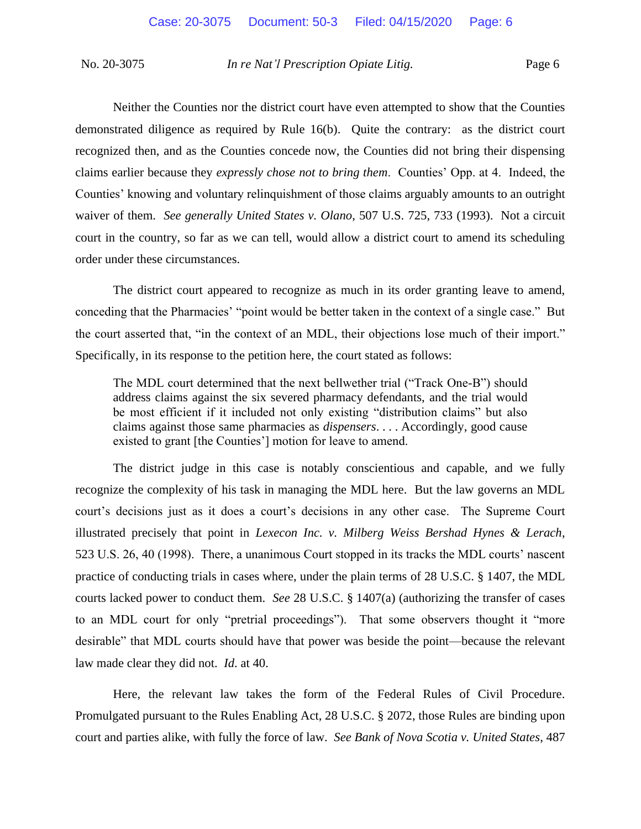Neither the Counties nor the district court have even attempted to show that the Counties demonstrated diligence as required by Rule 16(b). Quite the contrary: as the district court recognized then, and as the Counties concede now, the Counties did not bring their dispensing claims earlier because they *expressly chose not to bring them*. Counties' Opp. at 4. Indeed, the Counties' knowing and voluntary relinquishment of those claims arguably amounts to an outright waiver of them. *See generally United States v. Olano*, 507 U.S. 725, 733 (1993). Not a circuit court in the country, so far as we can tell, would allow a district court to amend its scheduling order under these circumstances.

The district court appeared to recognize as much in its order granting leave to amend, conceding that the Pharmacies' "point would be better taken in the context of a single case." But the court asserted that, "in the context of an MDL, their objections lose much of their import." Specifically, in its response to the petition here, the court stated as follows:

The MDL court determined that the next bellwether trial ("Track One-B") should address claims against the six severed pharmacy defendants, and the trial would be most efficient if it included not only existing "distribution claims" but also claims against those same pharmacies as *dispensers*. . . . Accordingly, good cause existed to grant [the Counties'] motion for leave to amend.

 The district judge in this case is notably conscientious and capable, and we fully recognize the complexity of his task in managing the MDL here. But the law governs an MDL court's decisions just as it does a court's decisions in any other case. The Supreme Court illustrated precisely that point in *Lexecon Inc. v. Milberg Weiss Bershad Hynes & Lerach*, 523 U.S. 26, 40 (1998). There, a unanimous Court stopped in its tracks the MDL courts' nascent practice of conducting trials in cases where, under the plain terms of 28 U.S.C. § 1407, the MDL courts lacked power to conduct them. *See* 28 U.S.C. § 1407(a) (authorizing the transfer of cases to an MDL court for only "pretrial proceedings"). That some observers thought it "more desirable" that MDL courts should have that power was beside the point—because the relevant law made clear they did not. *Id*. at 40.

Here, the relevant law takes the form of the Federal Rules of Civil Procedure. Promulgated pursuant to the Rules Enabling Act, 28 U.S.C. § 2072, those Rules are binding upon court and parties alike, with fully the force of law. *See Bank of Nova Scotia v. United States*, 487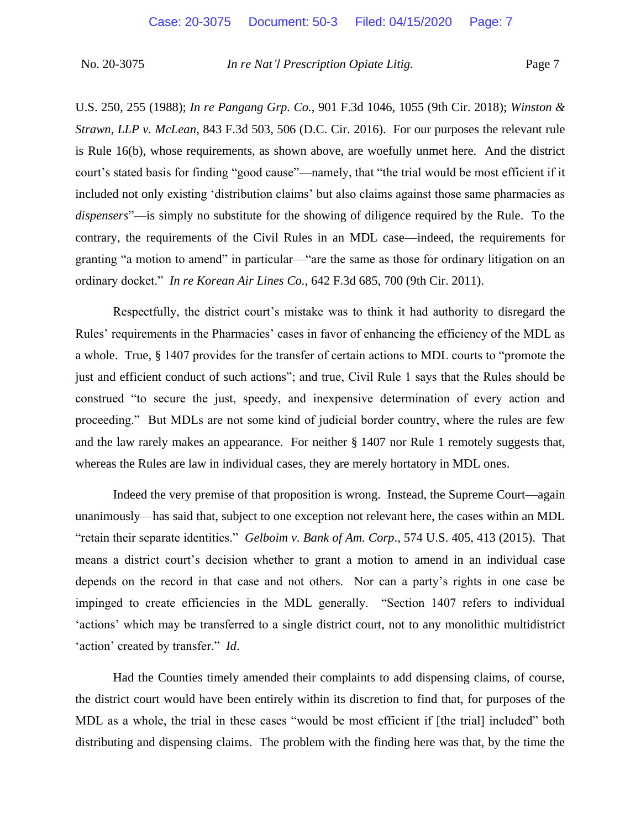U.S. 250, 255 (1988); *In re Pangang Grp. Co.*, 901 F.3d 1046, 1055 (9th Cir. 2018); *Winston & Strawn, LLP v. McLean*, 843 F.3d 503, 506 (D.C. Cir. 2016). For our purposes the relevant rule is Rule 16(b), whose requirements, as shown above, are woefully unmet here. And the district court's stated basis for finding "good cause"—namely, that "the trial would be most efficient if it included not only existing 'distribution claims' but also claims against those same pharmacies as *dispensers*"—is simply no substitute for the showing of diligence required by the Rule. To the contrary, the requirements of the Civil Rules in an MDL case—indeed, the requirements for granting "a motion to amend" in particular—"are the same as those for ordinary litigation on an ordinary docket." *In re Korean Air Lines Co.*, 642 F.3d 685, 700 (9th Cir. 2011).

Respectfully, the district court's mistake was to think it had authority to disregard the Rules' requirements in the Pharmacies' cases in favor of enhancing the efficiency of the MDL as a whole. True, § 1407 provides for the transfer of certain actions to MDL courts to "promote the just and efficient conduct of such actions"; and true, Civil Rule 1 says that the Rules should be construed "to secure the just, speedy, and inexpensive determination of every action and proceeding." But MDLs are not some kind of judicial border country, where the rules are few and the law rarely makes an appearance. For neither § 1407 nor Rule 1 remotely suggests that, whereas the Rules are law in individual cases, they are merely hortatory in MDL ones.

Indeed the very premise of that proposition is wrong. Instead, the Supreme Court—again unanimously—has said that, subject to one exception not relevant here, the cases within an MDL "retain their separate identities." *Gelboim v. Bank of Am. Corp*., 574 U.S. 405, 413 (2015). That means a district court's decision whether to grant a motion to amend in an individual case depends on the record in that case and not others. Nor can a party's rights in one case be impinged to create efficiencies in the MDL generally. "Section 1407 refers to individual 'actions' which may be transferred to a single district court, not to any monolithic multidistrict 'action' created by transfer." *Id*.

Had the Counties timely amended their complaints to add dispensing claims, of course, the district court would have been entirely within its discretion to find that, for purposes of the MDL as a whole, the trial in these cases "would be most efficient if [the trial] included" both distributing and dispensing claims. The problem with the finding here was that, by the time the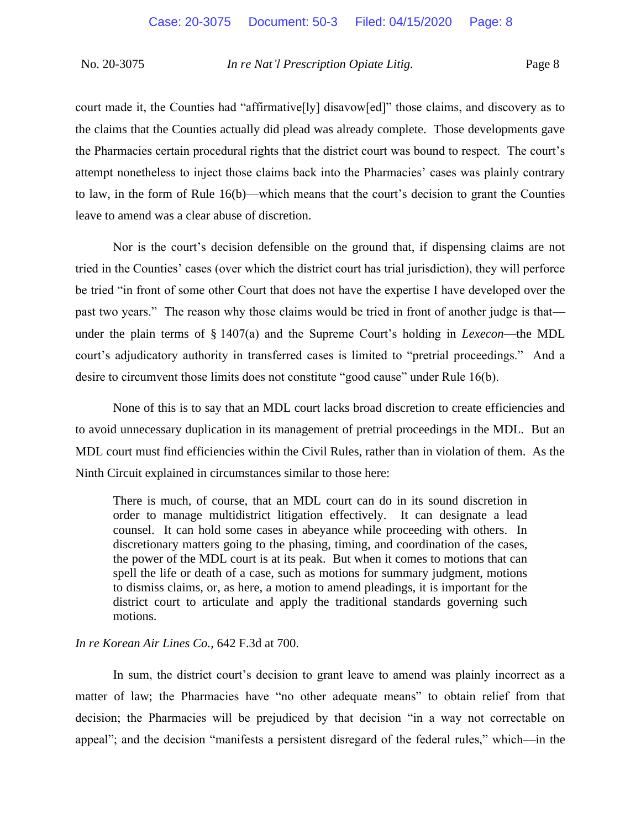court made it, the Counties had "affirmative[ly] disavow[ed]" those claims, and discovery as to the claims that the Counties actually did plead was already complete. Those developments gave the Pharmacies certain procedural rights that the district court was bound to respect. The court's attempt nonetheless to inject those claims back into the Pharmacies' cases was plainly contrary to law, in the form of Rule 16(b)—which means that the court's decision to grant the Counties leave to amend was a clear abuse of discretion.

Nor is the court's decision defensible on the ground that, if dispensing claims are not tried in the Counties' cases (over which the district court has trial jurisdiction), they will perforce be tried "in front of some other Court that does not have the expertise I have developed over the past two years." The reason why those claims would be tried in front of another judge is that under the plain terms of § 1407(a) and the Supreme Court's holding in *Lexecon*—the MDL court's adjudicatory authority in transferred cases is limited to "pretrial proceedings." And a desire to circumvent those limits does not constitute "good cause" under Rule 16(b).

None of this is to say that an MDL court lacks broad discretion to create efficiencies and to avoid unnecessary duplication in its management of pretrial proceedings in the MDL. But an MDL court must find efficiencies within the Civil Rules, rather than in violation of them. As the Ninth Circuit explained in circumstances similar to those here:

There is much, of course, that an MDL court can do in its sound discretion in order to manage multidistrict litigation effectively. It can designate a lead counsel. It can hold some cases in abeyance while proceeding with others. In discretionary matters going to the phasing, timing, and coordination of the cases, the power of the MDL court is at its peak. But when it comes to motions that can spell the life or death of a case, such as motions for summary judgment, motions to dismiss claims, or, as here, a motion to amend pleadings, it is important for the district court to articulate and apply the traditional standards governing such motions.

#### *In re Korean Air Lines Co.*, 642 F.3d at 700.

In sum, the district court's decision to grant leave to amend was plainly incorrect as a matter of law; the Pharmacies have "no other adequate means" to obtain relief from that decision; the Pharmacies will be prejudiced by that decision "in a way not correctable on appeal"; and the decision "manifests a persistent disregard of the federal rules," which—in the